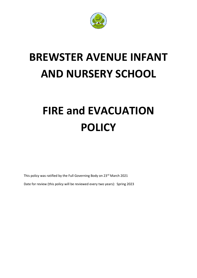

# **BREWSTER AVENUE INFANT AND NURSERY SCHOOL**

# **FIRE and EVACUATION POLICY**

This policy was ratified by the Full Governing Body on 23<sup>rd</sup> March 2021

Date for review (this policy will be reviewed every two years): Spring 2023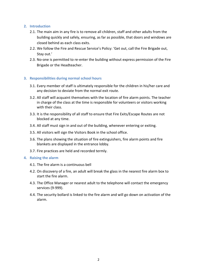## **2. Introduction**

- 2.1. The main aim in any fire is to remove all children, staff and other adults from the building quickly and safely, ensuring, as far as possible, that doors and windows are closed behind as each class exits.
- 2.2. We follow the Fire and Rescue Service's Policy: 'Get out, call the Fire Brigade out, Stay out.'
- 2.3. No-one is permitted to re-enter the building without express permission of the Fire Brigade or the Headteacher.

## **3. Responsibilities during normal school hours**

- 3.1. Every member of staff is ultimately responsible for the children in his/her care and any decision to deviate from the normal exit route.
- 3.2. All staff will acquaint themselves with the location of fire alarm points. The teacher in charge of the class at the time is responsible for volunteers or visitors working with their class.
- 3.3. It is the responsibility of all staff to ensure that Fire Exits/Escape Routes are not blocked at any time.
- 3.4. All staff must sign in and out of the building, whenever entering or exiting.
- 3.5. All visitors will sign the Visitors Book in the school office.
- 3.6. The plans showing the situation of fire extinguishers, fire alarm points and fire blankets are displayed in the entrance lobby.
- 3.7. Fire practices are held and recorded termly.

#### **4. Raising the alarm**

- 4.1. The fire alarm is a continuous bell
- 4.2. On discovery of a fire, an adult will break the glass in the nearest fire alarm box to start the fire alarm.
- 4.3. The Office Manager or nearest adult to the telephone will contact the emergency services (9-999).
- 4.4. The security bollard is linked to the fire alarm and will go down on activation of the alarm.